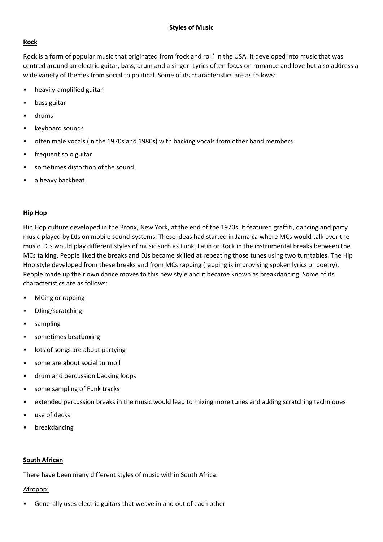# **Styles of Music**

## **Rock**

Rock is a form of popular music that originated from 'rock and roll' in the USA. It developed into music that was centred around an electric guitar, bass, drum and a singer. Lyrics often focus on romance and love but also address a wide variety of themes from social to political. Some of its characteristics are as follows:

- heavily-amplified guitar
- bass guitar
- drums
- keyboard sounds
- often male vocals (in the 1970s and 1980s) with backing vocals from other band members
- frequent solo guitar
- sometimes distortion of the sound
- a heavy backbeat

## **Hip Hop**

Hip Hop culture developed in the Bronx, New York, at the end of the 1970s. It featured graffiti, dancing and party music played by DJs on mobile sound-systems. These ideas had started in Jamaica where MCs would talk over the music. DJs would play different styles of music such as Funk, Latin or Rock in the instrumental breaks between the MCs talking. People liked the breaks and DJs became skilled at repeating those tunes using two turntables. The Hip Hop style developed from these breaks and from MCs rapping (rapping is improvising spoken lyrics or poetry). People made up their own dance moves to this new style and it became known as breakdancing. Some of its characteristics are as follows:

- MCing or rapping
- DJing/scratching
- sampling
- sometimes beatboxing
- lots of songs are about partying
- some are about social turmoil
- drum and percussion backing loops
- some sampling of Funk tracks
- extended percussion breaks in the music would lead to mixing more tunes and adding scratching techniques
- use of decks
- breakdancing

### **South African**

There have been many different styles of music within South Africa:

### Afropop:

• Generally uses electric guitars that weave in and out of each other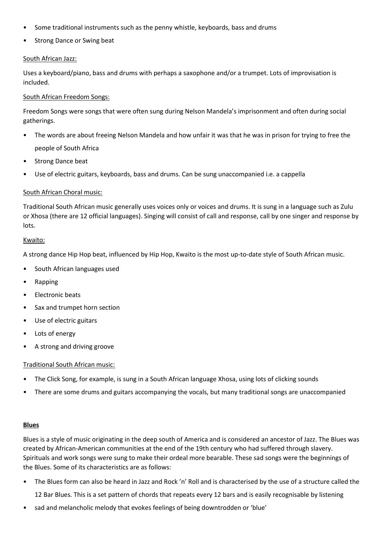- Some traditional instruments such as the penny whistle, keyboards, bass and drums
- Strong Dance or Swing beat

### South African Jazz:

Uses a keyboard/piano, bass and drums with perhaps a saxophone and/or a trumpet. Lots of improvisation is included.

## South African Freedom Songs:

Freedom Songs were songs that were often sung during Nelson Mandela's imprisonment and often during social gatherings.

- The words are about freeing Nelson Mandela and how unfair it was that he was in prison for trying to free the people of South Africa
- Strong Dance beat
- Use of electric guitars, keyboards, bass and drums. Can be sung unaccompanied i.e. a cappella

## South African Choral music:

Traditional South African music generally uses voices only or voices and drums. It is sung in a language such as Zulu or Xhosa (there are 12 official languages). Singing will consist of call and response, call by one singer and response by lots.

### Kwaito:

A strong dance Hip Hop beat, influenced by Hip Hop, Kwaito is the most up-to-date style of South African music.

- South African languages used
- Rapping
- Electronic beats
- Sax and trumpet horn section
- Use of electric guitars
- Lots of energy
- A strong and driving groove

### Traditional South African music:

- The Click Song, for example, is sung in a South African language Xhosa, using lots of clicking sounds
- There are some drums and guitars accompanying the vocals, but many traditional songs are unaccompanied

### **Blues**

Blues is a style of music originating in the deep south of America and is considered an ancestor of Jazz. The Blues was created by African-American communities at the end of the 19th century who had suffered through slavery. Spirituals and work songs were sung to make their ordeal more bearable. These sad songs were the beginnings of the Blues. Some of its characteristics are as follows:

- The Blues form can also be heard in Jazz and Rock 'n' Roll and is characterised by the use of a structure called the 12 Bar Blues. This is a set pattern of chords that repeats every 12 bars and is easily recognisable by listening
- sad and melancholic melody that evokes feelings of being downtrodden or 'blue'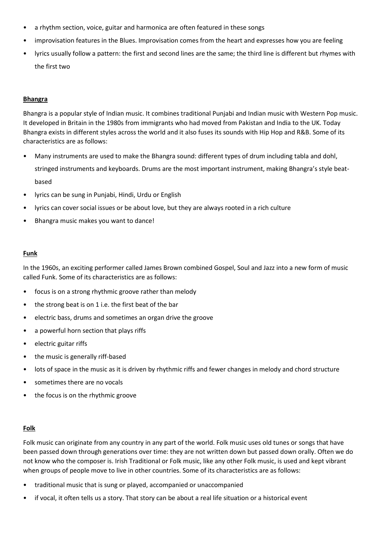- a rhythm section, voice, guitar and harmonica are often featured in these songs
- improvisation features in the Blues. Improvisation comes from the heart and expresses how you are feeling
- lyrics usually follow a pattern: the first and second lines are the same; the third line is different but rhymes with the first two

#### **Bhangra**

Bhangra is a popular style of Indian music. It combines traditional Punjabi and Indian music with Western Pop music. It developed in Britain in the 1980s from immigrants who had moved from Pakistan and India to the UK. Today Bhangra exists in different styles across the world and it also fuses its sounds with Hip Hop and R&B. Some of its characteristics are as follows:

- Many instruments are used to make the Bhangra sound: different types of drum including tabla and dohl, stringed instruments and keyboards. Drums are the most important instrument, making Bhangra's style beatbased
- lyrics can be sung in Punjabi, Hindi, Urdu or English
- lyrics can cover social issues or be about love, but they are always rooted in a rich culture
- Bhangra music makes you want to dance!

#### **Funk**

In the 1960s, an exciting performer called James Brown combined Gospel, Soul and Jazz into a new form of music called Funk. Some of its characteristics are as follows:

- focus is on a strong rhythmic groove rather than melody
- the strong beat is on 1 i.e. the first beat of the bar
- electric bass, drums and sometimes an organ drive the groove
- a powerful horn section that plays riffs
- electric guitar riffs
- the music is generally riff-based
- lots of space in the music as it is driven by rhythmic riffs and fewer changes in melody and chord structure
- sometimes there are no vocals
- the focus is on the rhythmic groove

### **Folk**

Folk music can originate from any country in any part of the world. Folk music uses old tunes or songs that have been passed down through generations over time: they are not written down but passed down orally. Often we do not know who the composer is. Irish Traditional or Folk music, like any other Folk music, is used and kept vibrant when groups of people move to live in other countries. Some of its characteristics are as follows:

- traditional music that is sung or played, accompanied or unaccompanied
- if vocal, it often tells us a story. That story can be about a real life situation or a historical event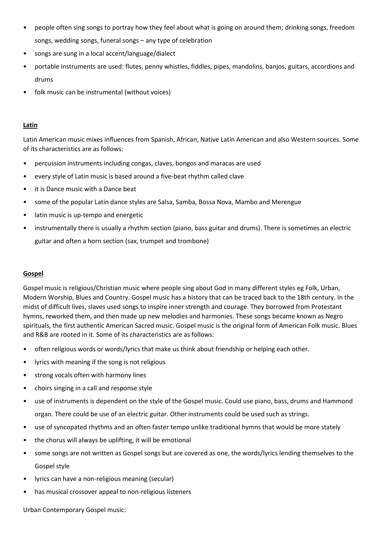- people often sing songs to portray how they feel about what is going on around them; drinking songs, freedom songs, wedding songs, funeral songs – any type of celebration
- songs are sung in a local accent/language/dialect
- portable instruments are used: flutes, penny whistles, fiddles, pipes, mandolins, banjos, guitars, accordions and drums
- folk music can be instrumental (without voices)

# **Latin**

Latin American music mixes influences from Spanish, African, Native Latin American and also Western sources. Some of its characteristics are as follows:

- percussion instruments including congas, claves, bongos and maracas are used
- every style of Latin music is based around a five-beat rhythm called clave
- it is Dance music with a Dance beat
- some of the popular Latin dance styles are Salsa, Samba, Bossa Nova, Mambo and Merengue
- latin music is up-tempo and energetic
- instrumentally there is usually a rhythm section (piano, bass guitar and drums). There is sometimes an electric guitar and often a horn section (sax, trumpet and trombone)

# **Gospel**

Gospel music is religious/Christian music where people sing about God in many different styles eg Folk, Urban, Modern Worship, Blues and Country. Gospel music has a history that can be traced back to the 18th century. In the midst of difficult lives, slaves used songs to inspire inner strength and courage. They borrowed from Protestant hymns, reworked them, and then made up new melodies and harmonies. These songs became known as Negro spirituals, the first authentic American Sacred music. Gospel music is the original form of American Folk music. Blues and R&B are rooted in it. Some of its characteristics are as follows:

- often religious words or words/lyrics that make us think about friendship or helping each other.
- lyrics with meaning if the song is not religious
- strong vocals often with harmony lines
- choirs singing in a call and response style
- use of instruments is dependent on the style of the Gospel music. Could use piano, bass, drums and Hammond organ. There could be use of an electric guitar. Other instruments could be used such as strings.
- use of syncopated rhythms and an often faster tempo unlike traditional hymns that would be more stately
- the chorus will always be uplifting, it will be emotional
- some songs are not written as Gospel songs but are covered as one, the words/lyrics lending themselves to the Gospel style
- lyrics can have a non-religious meaning (secular)
- has musical crossover appeal to non-religious listeners

Urban Contemporary Gospel music: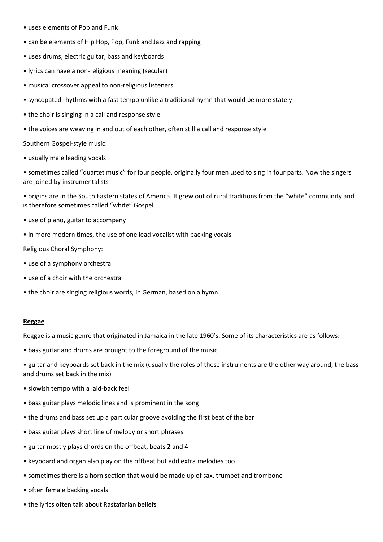- uses elements of Pop and Funk
- can be elements of Hip Hop, Pop, Funk and Jazz and rapping
- uses drums, electric guitar, bass and keyboards
- lyrics can have a non-religious meaning (secular)
- musical crossover appeal to non-religious listeners
- syncopated rhythms with a fast tempo unlike a traditional hymn that would be more stately
- the choir is singing in a call and response style
- the voices are weaving in and out of each other, often still a call and response style

Southern Gospel-style music:

• usually male leading vocals

• sometimes called "quartet music" for four people, originally four men used to sing in four parts. Now the singers are joined by instrumentalists

• origins are in the South Eastern states of America. It grew out of rural traditions from the "white" community and is therefore sometimes called "white" Gospel

- use of piano, guitar to accompany
- in more modern times, the use of one lead vocalist with backing vocals

Religious Choral Symphony:

- use of a symphony orchestra
- use of a choir with the orchestra
- the choir are singing religious words, in German, based on a hymn

#### **Reggae**

Reggae is a music genre that originated in Jamaica in the late 1960's. Some of its characteristics are as follows:

- bass guitar and drums are brought to the foreground of the music
- guitar and keyboards set back in the mix (usually the roles of these instruments are the other way around, the bass and drums set back in the mix)
- slowish tempo with a laid-back feel
- bass guitar plays melodic lines and is prominent in the song
- the drums and bass set up a particular groove avoiding the first beat of the bar
- bass guitar plays short line of melody or short phrases
- guitar mostly plays chords on the offbeat, beats 2 and 4
- keyboard and organ also play on the offbeat but add extra melodies too
- sometimes there is a horn section that would be made up of sax, trumpet and trombone
- often female backing vocals
- the lyrics often talk about Rastafarian beliefs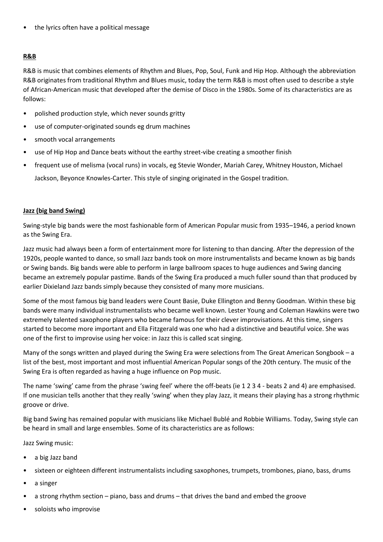the lyrics often have a political message

# **R&B**

R&B is music that combines elements of Rhythm and Blues, Pop, Soul, Funk and Hip Hop. Although the abbreviation R&B originates from traditional Rhythm and Blues music, today the term R&B is most often used to describe a style of African-American music that developed after the demise of Disco in the 1980s. Some of its characteristics are as follows:

- polished production style, which never sounds gritty
- use of computer-originated sounds eg drum machines
- smooth vocal arrangements
- use of Hip Hop and Dance beats without the earthy street-vibe creating a smoother finish
- frequent use of melisma (vocal runs) in vocals, eg Stevie Wonder, Mariah Carey, Whitney Houston, Michael Jackson, Beyonce Knowles-Carter. This style of singing originated in the Gospel tradition.

## **Jazz (big band Swing)**

Swing-style big bands were the most fashionable form of American Popular music from 1935–1946, a period known as the Swing Era.

Jazz music had always been a form of entertainment more for listening to than dancing. After the depression of the 1920s, people wanted to dance, so small Jazz bands took on more instrumentalists and became known as big bands or Swing bands. Big bands were able to perform in large ballroom spaces to huge audiences and Swing dancing became an extremely popular pastime. Bands of the Swing Era produced a much fuller sound than that produced by earlier Dixieland Jazz bands simply because they consisted of many more musicians.

Some of the most famous big band leaders were Count Basie, Duke Ellington and Benny Goodman. Within these big bands were many individual instrumentalists who became well known. Lester Young and Coleman Hawkins were two extremely talented saxophone players who became famous for their clever improvisations. At this time, singers started to become more important and Ella Fitzgerald was one who had a distinctive and beautiful voice. She was one of the first to improvise using her voice: in Jazz this is called scat singing.

Many of the songs written and played during the Swing Era were selections from The Great American Songbook – a list of the best, most important and most influential American Popular songs of the 20th century. The music of the Swing Era is often regarded as having a huge influence on Pop music.

The name 'swing' came from the phrase 'swing feel' where the off-beats (ie 1 2 3 4 - beats 2 and 4) are emphasised. If one musician tells another that they really 'swing' when they play Jazz, it means their playing has a strong rhythmic groove or drive.

Big band Swing has remained popular with musicians like Michael Bublé and Robbie Williams. Today, Swing style can be heard in small and large ensembles. Some of its characteristics are as follows:

Jazz Swing music:

- a big Jazz band
- sixteen or eighteen different instrumentalists including saxophones, trumpets, trombones, piano, bass, drums
- a singer
- a strong rhythm section piano, bass and drums that drives the band and embed the groove
- soloists who improvise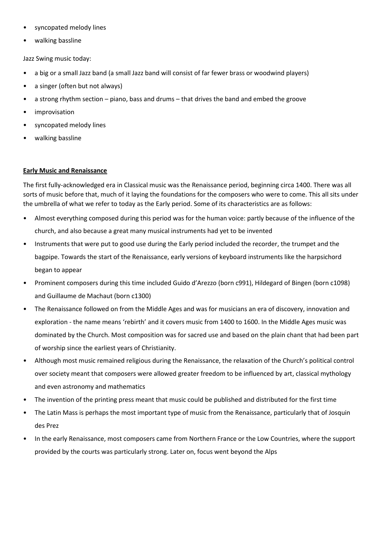- syncopated melody lines
- walking bassline

Jazz Swing music today:

- a big or a small Jazz band (a small Jazz band will consist of far fewer brass or woodwind players)
- a singer (often but not always)
- a strong rhythm section piano, bass and drums that drives the band and embed the groove
- *improvisation*
- syncopated melody lines
- walking bassline

## **Early Music and Renaissance**

The first fully-acknowledged era in Classical music was the Renaissance period, beginning circa 1400. There was all sorts of music before that, much of it laying the foundations for the composers who were to come. This all sits under the umbrella of what we refer to today as the Early period. Some of its characteristics are as follows:

- Almost everything composed during this period was for the human voice: partly because of the influence of the church, and also because a great many musical instruments had yet to be invented
- Instruments that were put to good use during the Early period included the recorder, the trumpet and the bagpipe. Towards the start of the Renaissance, early versions of keyboard instruments like the harpsichord began to appear
- Prominent composers during this time included Guido d'Arezzo (born c991), Hildegard of Bingen (born c1098) and Guillaume de Machaut (born c1300)
- The Renaissance followed on from the Middle Ages and was for musicians an era of discovery, innovation and exploration - the name means 'rebirth' and it covers music from 1400 to 1600. In the Middle Ages music was dominated by the Church. Most composition was for sacred use and based on the plain chant that had been part of worship since the earliest years of Christianity.
- Although most music remained religious during the Renaissance, the relaxation of the Church's political control over society meant that composers were allowed greater freedom to be influenced by art, classical mythology and even astronomy and mathematics
- The invention of the printing press meant that music could be published and distributed for the first time
- The Latin Mass is perhaps the most important type of music from the Renaissance, particularly that of Josquin des Prez
- In the early Renaissance, most composers came from Northern France or the Low Countries, where the support provided by the courts was particularly strong. Later on, focus went beyond the Alps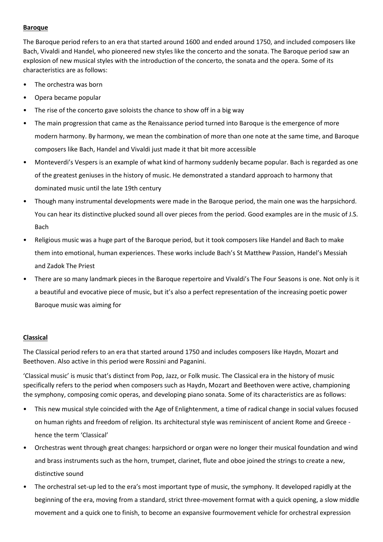## **Baroque**

The Baroque period refers to an era that started around 1600 and ended around 1750, and included composers like Bach, Vivaldi and Handel, who pioneered new styles like the concerto and the sonata. The Baroque period saw an explosion of new musical styles with the introduction of the concerto, the sonata and the opera. Some of its characteristics are as follows:

- The orchestra was born
- Opera became popular
- The rise of the concerto gave soloists the chance to show off in a big way
- The main progression that came as the Renaissance period turned into Baroque is the emergence of more modern harmony. By harmony, we mean the combination of more than one note at the same time, and Baroque composers like Bach, Handel and Vivaldi just made it that bit more accessible
- Monteverdi's Vespers is an example of what kind of harmony suddenly became popular. Bach is regarded as one of the greatest geniuses in the history of music. He demonstrated a standard approach to harmony that dominated music until the late 19th century
- Though many instrumental developments were made in the Baroque period, the main one was the harpsichord. You can hear its distinctive plucked sound all over pieces from the period. Good examples are in the music of J.S. Bach
- Religious music was a huge part of the Baroque period, but it took composers like Handel and Bach to make them into emotional, human experiences. These works include Bach's St Matthew Passion, Handel's Messiah and Zadok The Priest
- There are so many landmark pieces in the Baroque repertoire and Vivaldi's The Four Seasons is one. Not only is it a beautiful and evocative piece of music, but it's also a perfect representation of the increasing poetic power Baroque music was aiming for

# **Classical**

The Classical period refers to an era that started around 1750 and includes composers like Haydn, Mozart and Beethoven. Also active in this period were Rossini and Paganini.

'Classical music' is music that's distinct from Pop, Jazz, or Folk music. The Classical era in the history of music specifically refers to the period when composers such as Haydn, Mozart and Beethoven were active, championing the symphony, composing comic operas, and developing piano sonata. Some of its characteristics are as follows:

- This new musical style coincided with the Age of Enlightenment, a time of radical change in social values focused on human rights and freedom of religion. Its architectural style was reminiscent of ancient Rome and Greece hence the term 'Classical'
- Orchestras went through great changes: harpsichord or organ were no longer their musical foundation and wind and brass instruments such as the horn, trumpet, clarinet, flute and oboe joined the strings to create a new, distinctive sound
- The orchestral set-up led to the era's most important type of music, the symphony. It developed rapidly at the beginning of the era, moving from a standard, strict three-movement format with a quick opening, a slow middle movement and a quick one to finish, to become an expansive fourmovement vehicle for orchestral expression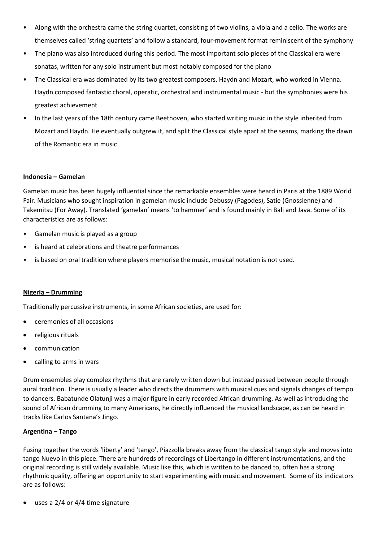- Along with the orchestra came the string quartet, consisting of two violins, a viola and a cello. The works are themselves called 'string quartets' and follow a standard, four-movement format reminiscent of the symphony
- The piano was also introduced during this period. The most important solo pieces of the Classical era were sonatas, written for any solo instrument but most notably composed for the piano
- The Classical era was dominated by its two greatest composers, Haydn and Mozart, who worked in Vienna. Haydn composed fantastic choral, operatic, orchestral and instrumental music - but the symphonies were his greatest achievement
- In the last years of the 18th century came Beethoven, who started writing music in the style inherited from Mozart and Haydn. He eventually outgrew it, and split the Classical style apart at the seams, marking the dawn of the Romantic era in music

# **Indonesia – Gamelan**

Gamelan music has been hugely influential since the remarkable ensembles were heard in Paris at the 1889 World Fair. Musicians who sought inspiration in gamelan music include Debussy (Pagodes), Satie (Gnossienne) and Takemitsu (For Away). Translated 'gamelan' means 'to hammer' and is found mainly in Bali and Java. Some of its characteristics are as follows:

- Gamelan music is played as a group
- is heard at celebrations and theatre performances
- is based on oral tradition where players memorise the music, musical notation is not used.

# **Nigeria – Drumming**

Traditionally percussive instruments, in some African societies, are used for:

- ceremonies of all occasions
- religious rituals
- communication
- calling to arms in wars

Drum ensembles play complex rhythms that are rarely written down but instead passed between people through aural tradition. There is usually a leader who directs the drummers with musical cues and signals changes of tempo to dancers. Babatunde Olatunji was a major figure in early recorded African drumming. As well as introducing the sound of African drumming to many Americans, he directly influenced the musical landscape, as can be heard in tracks like Carlos Santana's Jingo.

# **Argentina – Tango**

Fusing together the words 'liberty' and 'tango', Piazzolla breaks away from the classical tango style and moves into tango Nuevo in this piece. There are hundreds of recordings of Libertango in different instrumentations, and the original recording is still widely available. Music like this, which is written to be danced to, often has a strong rhythmic quality, offering an opportunity to start experimenting with music and movement. Some of its indicators are as follows:

uses a 2/4 or 4/4 time signature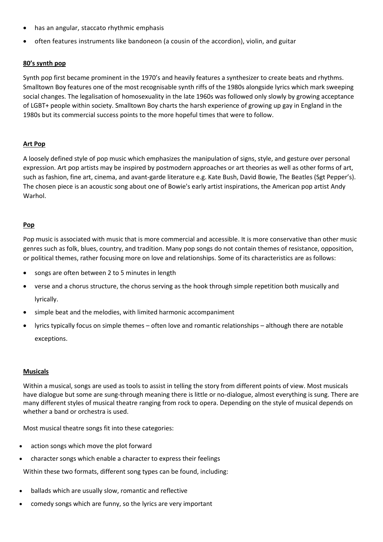- has an angular, staccato rhythmic emphasis
- often features instruments like bandoneon (a cousin of the accordion), violin, and guitar

# **80's synth pop**

Synth pop first became prominent in the 1970's and heavily features a synthesizer to create beats and rhythms. Smalltown Boy features one of the most recognisable synth riffs of the 1980s alongside lyrics which mark sweeping social changes. The legalisation of homosexuality in the late 1960s was followed only slowly by growing acceptance of LGBT+ people within society. Smalltown Boy charts the harsh experience of growing up gay in England in the 1980s but its commercial success points to the more hopeful times that were to follow.

## **Art Pop**

A loosely defined style of pop music which emphasizes the manipulation of [signs,](https://en.wikipedia.org/wiki/Sign) style, and gesture over personal expression. Art pop artists may be inspired by postmodern approaches or art theories as well as other forms of art, such as [fashion,](https://en.wikipedia.org/wiki/Fashion) [fine art,](https://en.wikipedia.org/wiki/Fine_art) [cinema,](https://en.wikipedia.org/wiki/Film) and [avant-garde](https://en.wikipedia.org/wiki/Avant-garde) literature e.g. Kate Bush, David Bowie, The Beatles (Sgt Pepper's). The chosen piece is an acoustic song about one of Bowie's early artist inspirations, the American pop artist [Andy](https://en.wikipedia.org/wiki/Andy_Warhol)  **Warhol** 

## **Pop**

Pop music is associated with music that is more commercial and accessible. It is more conservative than other music genres such as folk, blues, country, and tradition. Many pop songs do not contain themes of resistance, opposition, or political themes, rather focusing more on love and relationships. Some of its characteristics are as follows:

- songs are often between 2 to 5 minutes in length
- verse and a chorus structure, the chorus serving as the hook through simple repetition both musically and lyrically.
- simple beat and the melodies, with limited harmonic accompaniment
- lyrics typically focus on simple themes often love and romantic relationships although there are notable exceptions.

### **Musicals**

Within a musical, songs are used as tools to assist in telling the story from different points of view. Most musicals have dialogue but some are sung-through meaning there is little or no-dialogue, almost everything is sung. There are many different styles of musical theatre ranging from rock to opera. Depending on the style of musical depends on whether a band or orchestra is used.

Most musical theatre songs fit into these categories:

- action songs which move the plot forward
- character songs which enable a character to express their feelings

Within these two formats, different song types can be found, including:

- ballads which are usually slow, romantic and reflective
- comedy songs which are funny, so the lyrics are very important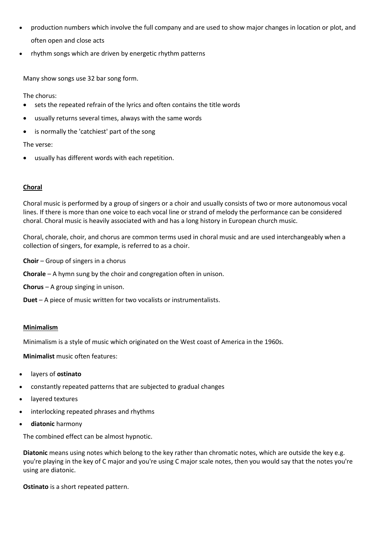- production numbers which involve the full company and are used to show major changes in location or plot, and often open and close acts
- rhythm songs which are driven by energetic rhythm patterns

Many show songs use 32 bar song form.

The chorus:

- sets the repeated refrain of the lyrics and often contains the title words
- usually returns several times, always with the same words
- is normally the 'catchiest' part of the song

# The verse:

usually has different words with each repetition.

# **Choral**

Choral music is performed by a group of singers or a choir and usually consists of two or more autonomous vocal lines. If there is more than one voice to each vocal line or strand of melody the performance can be considered choral. Choral music is heavily associated with and has a long history in European church music.

Choral, chorale, choir, and chorus are common terms used in choral music and are used interchangeably when a collection of singers, for example, is referred to as a choir.

**Choir** – Group of singers in a chorus

**Chorale** – A hymn sung by the choir and congregation often in unison.

**Chorus** – A group singing in unison.

**Duet** – A piece of music written for two vocalists or instrumentalists.

# **Minimalism**

Minimalism is a style of music which originated on the West coast of America in the 1960s.

**Minimalist** music often features:

- layers of **ostinato**
- constantly repeated patterns that are subjected to gradual changes
- layered textures
- interlocking repeated phrases and rhythms
- **diatonic** harmony

The combined effect can be almost hypnotic.

**Diatonic** means using notes which belong to the key rather than chromatic notes, which are outside the key e.g. you're playing in the key of C major and you're using C major scale notes, then you would say that the notes you're using are diatonic.

**Ostinato** is a short repeated pattern.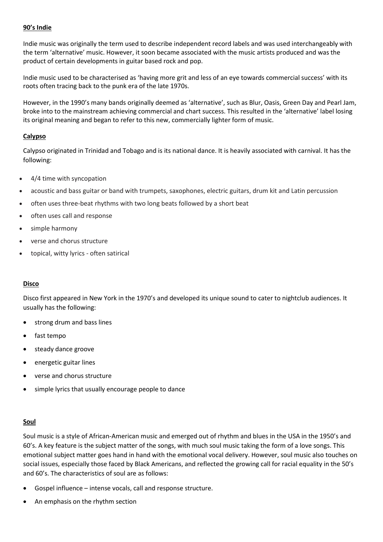## **90's Indie**

Indie music was originally the term used to describe independent record labels and was used interchangeably with the term 'alternative' music. However, it soon became associated with the music artists produced and was the product of certain developments in guitar based rock and pop.

Indie music used to be characterised as 'having more grit and less of an eye towards commercial success' with its roots often tracing back to the punk era of the late 1970s.

However, in the 1990's many bands originally deemed as 'alternative', such as Blur, Oasis, Green Day and Pearl Jam, broke into to the mainstream achieving commercial and chart success. This resulted in the 'alternative' label losing its original meaning and began to refer to this new, commercially lighter form of music.

### **Calypso**

Calypso originated in Trinidad and Tobago and is its national dance. It is heavily associated with carnival. It has the following:

- 4/4 time with syncopation
- acoustic and bass guitar or band with trumpets, saxophones, electric guitars, drum kit and Latin percussion
- often uses three-beat rhythms with two long beats followed by a short beat
- often uses call and response
- simple harmony
- verse and chorus structure
- topical, witty lyrics often satirical

### **Disco**

Disco first appeared in New York in the 1970's and developed its unique sound to cater to nightclub audiences. It usually has the following:

- strong drum and bass lines
- fast tempo
- steady dance groove
- energetic guitar lines
- verse and chorus structure
- simple lyrics that usually encourage people to dance

### **Soul**

Soul music is a style of African-American music and emerged out of rhythm and blues in the USA in the 1950's and 60's. A key feature is the subject matter of the songs, with much soul music taking the form of a love songs. This emotional subject matter goes hand in hand with the emotional vocal delivery. However, soul music also touches on social issues, especially those faced by Black Americans, and reflected the growing call for racial equality in the 50's and 60's. The characteristics of soul are as follows:

- Gospel influence intense vocals, call and response structure.
- An emphasis on the rhythm section